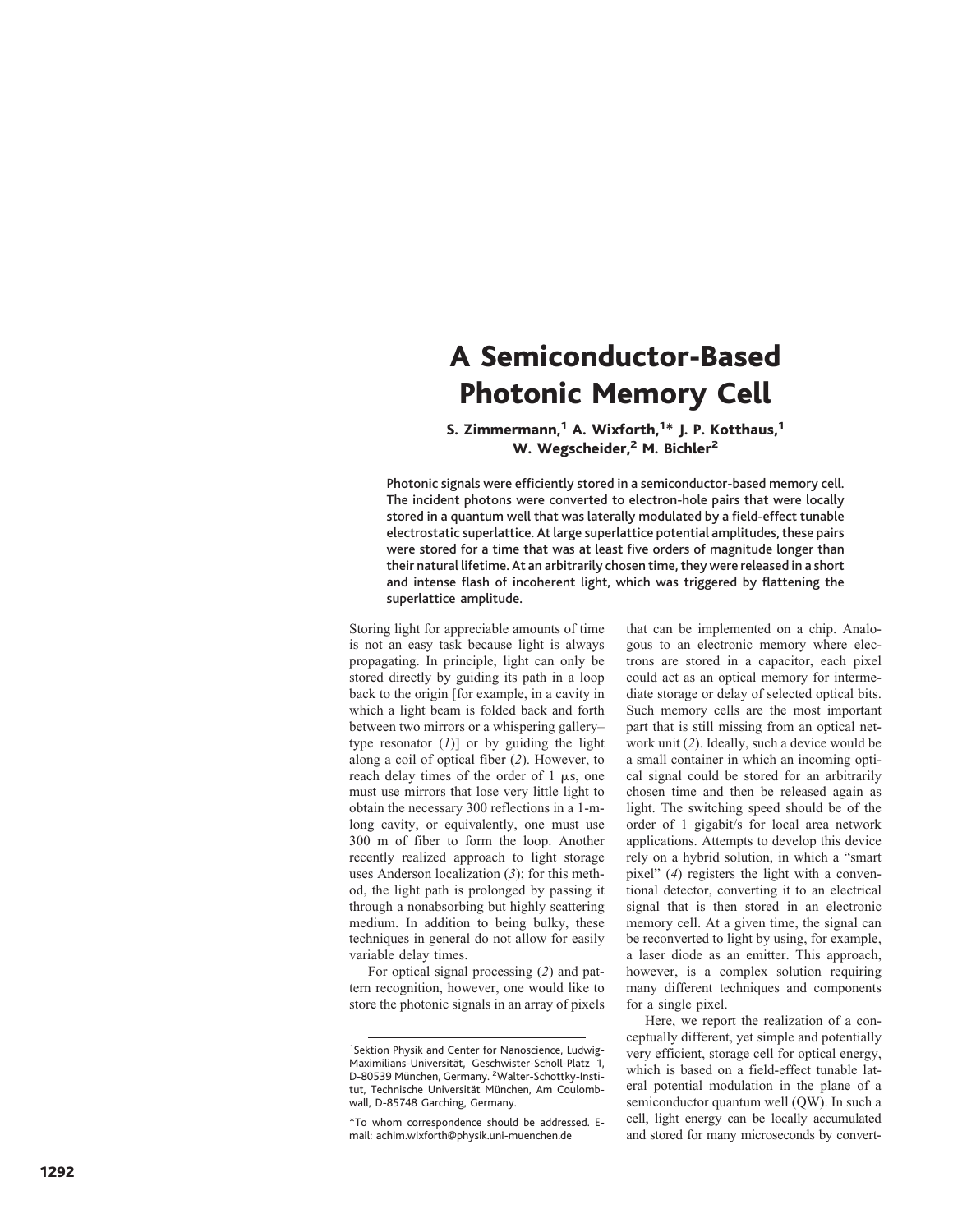## A Semiconductor-Based Photonic Memory Cell

## S. Zimmermann,<sup>1</sup> A. Wixforth,<sup>1\*</sup> J. P. Kotthaus,<sup>1</sup> W. Wegscheider,<sup>2</sup> M. Bichler<sup>2</sup>

Photonic signals were efficiently stored in a semiconductor-based memory cell. The incident photons were converted to electron-hole pairs that were locally stored in a quantum well that was laterally modulated by a field-effect tunable electrostatic superlattice. At large superlattice potential amplitudes, these pairs were stored for a time that was at least five orders of magnitude longer than their natural lifetime. At an arbitrarily chosen time, they were released in a short and intense flash of incoherent light, which was triggered by flattening the superlattice amplitude.

Storing light for appreciable amounts of time is not an easy task because light is always propagating. In principle, light can only be stored directly by guiding its path in a loop back to the origin [for example, in a cavity in which a light beam is folded back and forth between two mirrors or a whispering gallerytype resonator  $(I)$ ] or by guiding the light along a coil of optical fiber (2). However, to reach delay times of the order of  $1 \mu s$ , one must use mirrors that lose very little light to obtain the necessary 300 reflections in a 1-mlong cavity, or equivalently, one must use 300 m of fiber to form the loop. Another recently realized approach to light storage uses Anderson localization  $(3)$ ; for this method, the light path is prolonged by passing it through a nonabsorbing but highly scattering medium. In addition to being bulky, these techniques in general do not allow for easily variable delay times.

For optical signal processing (2) and pattern recognition, however, one would like to store the photonic signals in an array of pixels

\*To whom correspondence should be addressed. Email: achim.wixforth@physik.uni-muenchen.de

that can be implemented on a chip. Analogous to an electronic memory where electrons are stored in a capacitor, each pixel could act as an optical memory for intermediate storage or delay of selected optical bits. Such memory cells are the most important part that is still missing from an optical network unit (2). Ideally, such a device would be a small container in which an incoming optical signal could be stored for an arbitrarily chosen time and then be released again as light. The switching speed should be of the order of 1 gigabit/s for local area network applications. Attempts to develop this device rely on a hybrid solution, in which a "smart pixel" (4) registers the light with a conventional detector, converting it to an electrical signal that is then stored in an electronic memory cell. At a given time, the signal can be reconverted to light by using, for example, a laser diode as an emitter. This approach, however, is a complex solution requiring many different techniques and components for a single pixel.

Here, we report the realization of a conceptually different, yet simple and potentially very efficient, storage cell for optical energy, which is based on a field-effect tunable lateral potential modulation in the plane of a semiconductor quantum well (QW). In such a cell, light energy can be locally accumulated and stored for many microseconds by convert-

<sup>&</sup>lt;sup>1</sup>Sektion Physik and Center for Nanoscience, Ludwig-Maximilians-Universität, Geschwister-Scholl-Platz 1, D-80539 München, Germany. <sup>2</sup>Walter-Schottky-Institut, Technische Universität München, Am Coulombwall, D-85748 Garching, Germany.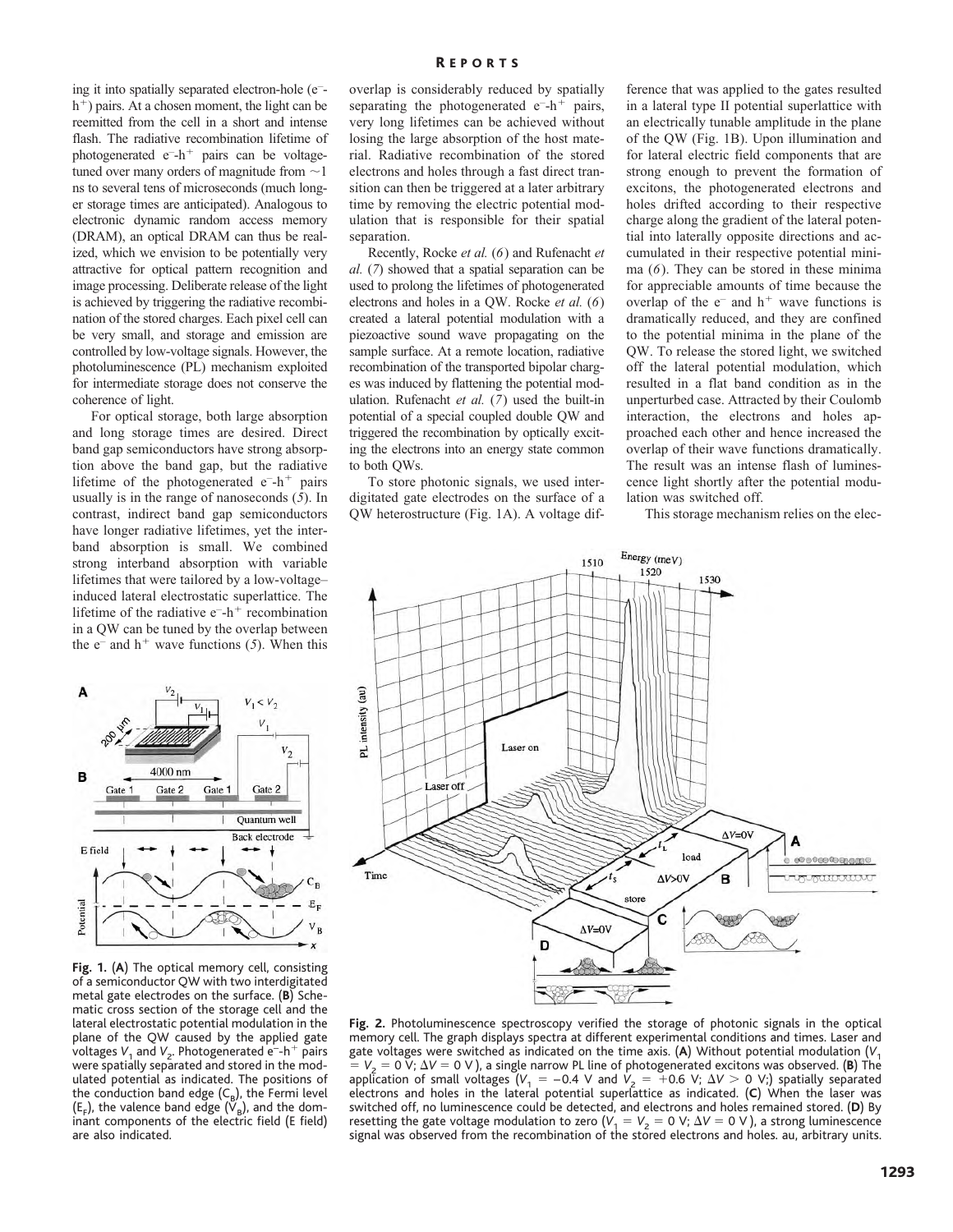ing it into spatially separated electron-hole (e – h<sup>+</sup>) pairs. At a chosen moment, the light can be reemitted from the cell in a short and intense flash. The radiative recombination lifetime of photogenerated e<sup>-</sup>h<sup>+</sup> pairs can be voltagetuned over many orders of magnitude from  $\sim$ 1 ns to several tens of microseconds (much longer storage times are anticipated). Analogous to electronic dynamic random access memory (DRAM), an optical DRAM can thus be realized, which we envision to be potentially very attractive for optical pattern recognition and image processing. Deliberate release of the light is achieved by triggering the radiative recombination of the stored charges. Each pixel cell can be very small, and storage and emission are controlled by low-voltage signals. However, the photoluminescence (PL) mechanism exploited for intermediate storage does not conserve the coherence of light.

For optical storage, both large absorption and long storage times are desired. Direct band gap semiconductors have strong absorption above the band gap, but the radiative lifetime of the photogenerated  $e^{-}h^{+}$  pairs usually is in the range of nanoseconds (*5*). In contrast, indirect band gap semiconductors have longer radiative lifetimes, yet the interband absorption is small. We combined strong interband absorption with variable lifetimes that were tailored by a low-voltage– induced lateral electrostatic superlattice. The lifetime of the radiative  $e^{-}h^{+}$  recombination in a QW can be tuned by the overlap between the  $e^-$  and  $h^+$  wave functions (5). When this



**Fig. 1.** (**A**) The optical memory cell, consisting of a semiconductor QW with two interdigitated metal gate electrodes on the surface. (**B**) Schematic cross section of the storage cell and the lateral electrostatic potential modulation in the plane of the QW caused by the applied gate voltages V<sub>1</sub> and V<sub>2</sub>. Photogenerated e<sup>-</sup>-h<sup>+</sup> pairs were spatially separated and stored in the modulated potential as indicated. The positions of the conduction band edge  $(C_B)$ , the Fermi level  $(E_F)$ , the valence band edge  $(V_B)$ , and the dominant components of the electric field (E field) are also indicated.

overlap is considerably reduced by spatially separating the photogenerated  $e^{-}h^{+}$  pairs, very long lifetimes can be achieved without losing the large absorption of the host material. Radiative recombination of the stored electrons and holes through a fast direct transition can then be triggered at a later arbitrary time by removing the electric potential modulation that is responsible for their spatial separation.

Recently, Rocke *et al.* (*6*) and Rufenacht *et al.* (*7*) showed that a spatial separation can be used to prolong the lifetimes of photogenerated electrons and holes in a QW. Rocke *et al.* (*6*) created a lateral potential modulation with a piezoactive sound wave propagating on the sample surface. At a remote location, radiative recombination of the transported bipolar charges was induced by flattening the potential modulation. Rufenacht *et al.* (*7*) used the built-in potential of a special coupled double QW and triggered the recombination by optically exciting the electrons into an energy state common to both QWs.

To store photonic signals, we used interdigitated gate electrodes on the surface of a QW heterostructure (Fig. 1A). A voltage difference that was applied to the gates resulted in a lateral type II potential superlattice with an electrically tunable amplitude in the plane of the QW (Fig. 1B). Upon illumination and for lateral electric field components that are strong enough to prevent the formation of excitons, the photogenerated electrons and holes drifted according to their respective charge along the gradient of the lateral potential into laterally opposite directions and accumulated in their respective potential minima (*6*). They can be stored in these minima for appreciable amounts of time because the overlap of the  $e^-$  and  $h^+$  wave functions is dramatically reduced, and they are confined to the potential minima in the plane of the QW. To release the stored light, we switched off the lateral potential modulation, which resulted in a flat band condition as in the unperturbed case. Attracted by their Coulomb interaction, the electrons and holes approached each other and hence increased the overlap of their wave functions dramatically. The result was an intense flash of luminescence light shortly after the potential modulation was switched off.

This storage mechanism relies on the elec-



**Fig. 2.** Photoluminescence spectroscopy verified the storage of photonic signals in the optical memory cell. The graph displays spectra at different experimental conditions and times. Laser and gate voltages were switched as indicated on the time axis. (**A**) Without potential modulation (*V*<sup>1</sup>  $V_2 = 0$  V;  $\Delta V = 0$  V), a single narrow PL line of photogenerated excitons was observed. (**B**) The application of small voltages  $(V_1 = -0.4 \text{ V}$  and  $V_2 = +0.6 \text{ V}$ ;  $\Delta V > 0 \text{ V}$ ; spatially separated electrons and holes in the lateral potential superlattice as indicated. (**C**) When the laser was switched off, no luminescence could be detected, and electrons and holes remained stored. (**D**) By resetting the gate voltage modulation to zero  $(V_1 = V_2 = 0 \text{ V}; \Delta V = 0 \text{ V})$ , a strong luminescence signal was observed from the recombination of the stored electrons and holes. au, arbitrary units.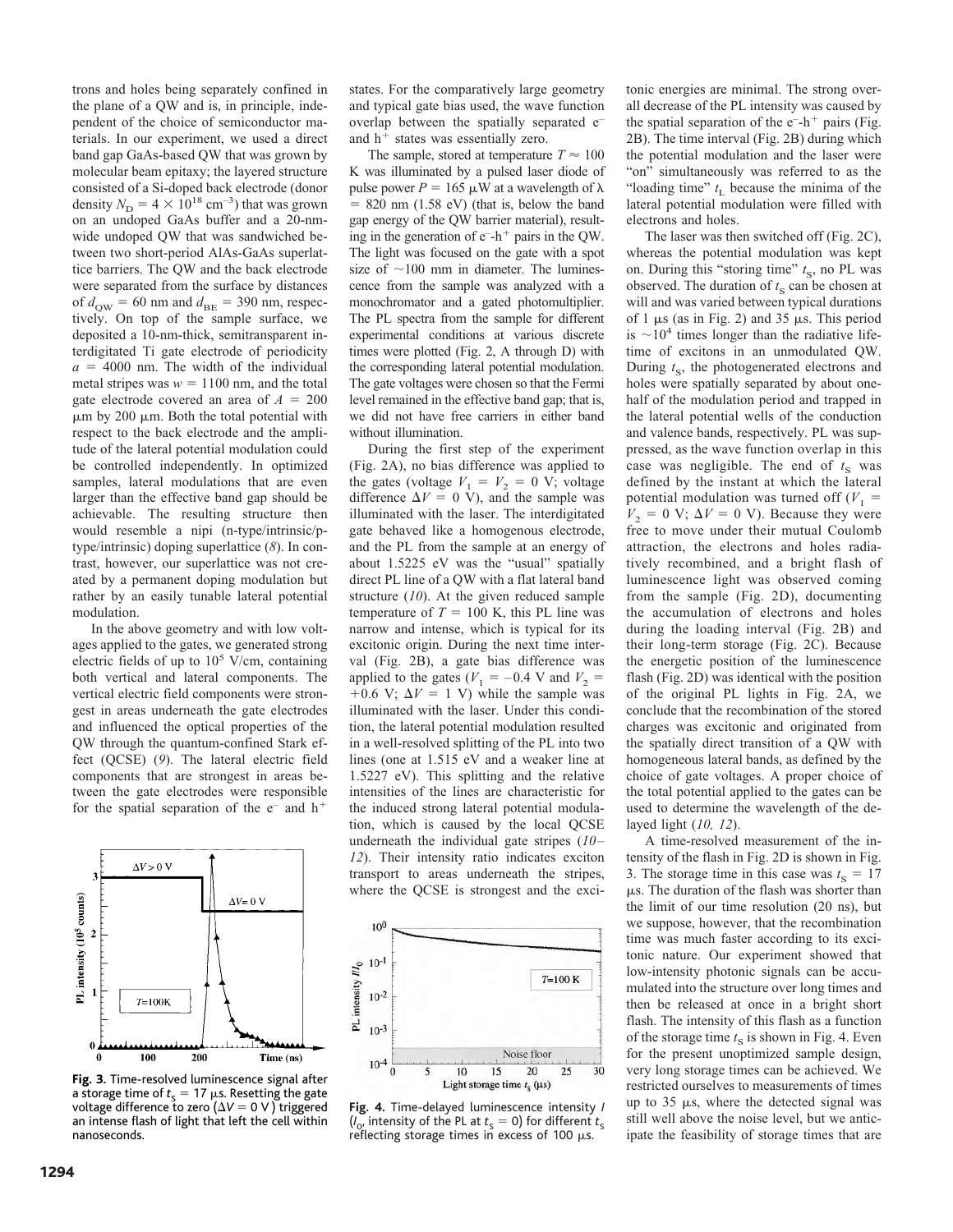trons and holes being separately confined in the plane of a QW and is, in principle, independent of the choice of semiconductor materials. In our experiment, we used a direct band gap GaAs-based QW that was grown by molecular beam epitaxy; the layered structure consisted of a Si-doped back electrode (donor density  $N_{\rm D} = 4 \times 10^{18}$  cm<sup>-3</sup>) that was grown on an undoped GaAs buffer and a 20-nmwide undoped QW that was sandwiched between two short-period AlAs-GaAs superlattice barriers. The QW and the back electrode were separated from the surface by distances of  $d_{\text{QW}} = 60$  nm and  $d_{\text{BE}} = 390$  nm, respectively. On top of the sample surface, we deposited a 10-nm-thick, semitransparent interdigitated Ti gate electrode of periodicity  $a = 4000$  nm. The width of the individual metal stripes was  $w = 1100$  nm, and the total gate electrode covered an area of  $A = 200$  $\mu$ m by 200  $\mu$ m. Both the total potential with respect to the back electrode and the amplitude of the lateral potential modulation could be controlled independently. In optimized samples, lateral modulations that are even larger than the effective band gap should be achievable. The resulting structure then would resemble a nipi (n-type/intrinsic/ptype/intrinsic) doping superlattice (*8*). In contrast, however, our superlattice was not created by a permanent doping modulation but rather by an easily tunable lateral potential modulation.

In the above geometry and with low voltages applied to the gates, we generated strong electric fields of up to 10 <sup>5</sup> V/cm, containing both vertical and lateral components. The vertical electric field components were strongest in areas underneath the gate electrodes and influenced the optical properties of the QW through the quantum-confined Stark effect (QCSE) (*9*). The lateral electric field components that are strongest in areas between the gate electrodes were responsible for the spatial separation of the  $e^-$  and  $h^+$ 



**Fig. 3.** Time-resolved luminescence signal after a storage time of  $t_{\rm s}$  = 17  $\mu$ s. Resetting the gate voltage difference to zero  $(\Delta V = 0 V)$  triggered an intense flash of light that left the cell within nanoseconds.

1294

states. For the comparatively large geometry and typical gate bias used, the wave function overlap between the spatially separated e<sup>-</sup> and  $h^+$  states was essentially zero.

The sample, stored at temperature  $T \approx 100$ K was illuminated by a pulsed laser diode of pulse power  $P = 165 \mu W$  at a wavelength of  $\lambda$  $= 820$  nm (1.58 eV) (that is, below the band gap energy of the QW barrier material), resulting in the generation of  $e^{-}h^{+}$  pairs in the QW. The light was focused on the gate with a spot size of  $\sim$ 100 mm in diameter. The luminescence from the sample was analyzed with a monochromator and a gated photomultiplier. The PL spectra from the sample for different experimental conditions at various discrete times were plotted (Fig. 2, A through D) with the corresponding lateral potential modulation. The gate voltages were chosen so that the Fermi level remained in the effective band gap; that is, we did not have free carriers in either band without illumination.

During the first step of the experiment (Fig. 2A), no bias difference was applied to the gates (voltage  $V_1 = V_2 = 0$  V; voltage difference  $\Delta V = 0$  V), and the sample was illuminated with the laser. The interdigitated gate behaved like a homogenous electrode, and the PL from the sample at an energy of about 1.5225 eV was the "usual" spatially direct PL line of a QW with a flat lateral band structure (*10*). At the given reduced sample temperature of  $T = 100$  K, this PL line was narrow and intense, which is typical for its excitonic origin. During the next time interval (Fig. 2B), a gate bias difference was applied to the gates ( $V_1 = -0.4$  V and  $V_2 =$  $+0.6$  V;  $\Delta V = 1$  V) while the sample was illuminated with the laser. Under this condition, the lateral potential modulation resulted in a well-resolved splitting of the PL into two lines (one at 1.515 eV and a weaker line at 1.5227 eV). This splitting and the relative intensities of the lines are characteristic for the induced strong lateral potential modulation, which is caused by the local QCSE underneath the individual gate stripes (*10– 12*). Their intensity ratio indicates exciton transport to areas underneath the stripes, where the QCSE is strongest and the exci-



**Fig. 4.** Time-delayed luminescence intensity *I*  $(l_0)$  intensity of the PL at  $t_s = 0$ ) for different  $t_s$ reflecting storage times in excess of 100  $\mu$ s.

tonic energies are minimal. The strong overall decrease of the PL intensity was caused by the spatial separation of the  $e^{-}h^{+}$  pairs (Fig. 2B). The time interval (Fig. 2B) during which the potential modulation and the laser were "on" simultaneously was referred to as the "loading time"  $t<sub>L</sub>$  because the minima of the lateral potential modulation were filled with electrons and holes.

The laser was then switched off (Fig. 2C), whereas the potential modulation was kept on. During this "storing time"  $t<sub>S</sub>$ , no PL was observed. The duration of  $t<sub>S</sub>$  can be chosen at will and was varied between typical durations of 1  $\mu$ s (as in Fig. 2) and 35  $\mu$ s. This period is  $\sim$ 10<sup>4</sup> times longer than the radiative lifetime of excitons in an unmodulated QW. During  $t_{\rm S}$ , the photogenerated electrons and holes were spatially separated by about onehalf of the modulation period and trapped in the lateral potential wells of the conduction and valence bands, respectively. PL was suppressed, as the wave function overlap in this case was negligible. The end of  $t<sub>S</sub>$  was defined by the instant at which the lateral potential modulation was turned off  $(V_1 =$  $V_2 = 0$  V;  $\Delta V = 0$  V). Because they were free to move under their mutual Coulomb attraction, the electrons and holes radiatively recombined, and a bright flash of luminescence light was observed coming from the sample (Fig. 2D), documenting the accumulation of electrons and holes during the loading interval (Fig. 2B) and their long-term storage (Fig. 2C). Because the energetic position of the luminescence flash (Fig. 2D) was identical with the position of the original PL lights in Fig. 2A, we conclude that the recombination of the stored charges was excitonic and originated from the spatially direct transition of a QW with homogeneous lateral bands, as defined by the choice of gate voltages. A proper choice of the total potential applied to the gates can be used to determine the wavelength of the delayed light (*10, 12*).

A time-resolved measurement of the intensity of the flash in Fig. 2D is shown in Fig. 3. The storage time in this case was  $t_s = 17$  $\mu$ s. The duration of the flash was shorter than the limit of our time resolution (20 ns), but we suppose, however, that the recombination time was much faster according to its excitonic nature. Our experiment showed that low-intensity photonic signals can be accumulated into the structure over long times and then be released at once in a bright short flash. The intensity of this flash as a function of the storage time  $t<sub>S</sub>$  is shown in Fig. 4. Even for the present unoptimized sample design, very long storage times can be achieved. We restricted ourselves to measurements of times up to  $35 \mu s$ , where the detected signal was still well above the noise level, but we anticipate the feasibility of storage times that are